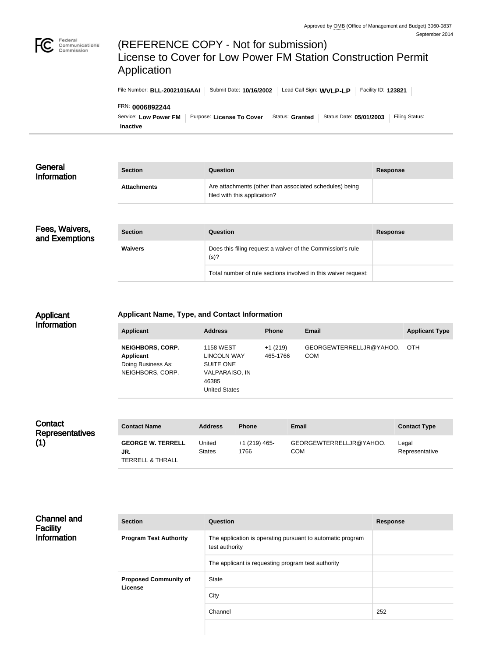

# (REFERENCE COPY - Not for submission) License to Cover for Low Power FM Station Construction Permit Application

| File Number: BLL-20021016AAI                                | Submit Date: 10/16/2002                     | Lead Call Sign: WVLP-LP |                         | Facility ID: 123821 |                       |
|-------------------------------------------------------------|---------------------------------------------|-------------------------|-------------------------|---------------------|-----------------------|
| FRN: 0006892244<br>Service: Low Power FM<br><b>Inactive</b> | Purpose: License To Cover   Status: Granted |                         | Status Date: 05/01/2003 |                     | <b>Filing Status:</b> |

| General<br>Information           | <b>Section</b>     | Question                                                                                | <b>Response</b> |
|----------------------------------|--------------------|-----------------------------------------------------------------------------------------|-----------------|
|                                  | <b>Attachments</b> | Are attachments (other than associated schedules) being<br>filed with this application? |                 |
|                                  |                    |                                                                                         |                 |
| Fees, Waivers,<br>and Exemptions | <b>Section</b>     | Question                                                                                | <b>Response</b> |

| 기 9,<br>tions | <b>Section</b> | <b>Question</b>                                                    | <b>Response</b> |
|---------------|----------------|--------------------------------------------------------------------|-----------------|
|               | <b>Waivers</b> | Does this filing request a waiver of the Commission's rule<br>(s)? |                 |
|               |                | Total number of rule sections involved in this waiver request:     |                 |

#### Applicant Information

#### **Applicant Name, Type, and Contact Information**

| Applicant                                                                      | <b>Address</b>                                                                                                | <b>Phone</b>          | <b>Email</b>                          | <b>Applicant Type</b> |
|--------------------------------------------------------------------------------|---------------------------------------------------------------------------------------------------------------|-----------------------|---------------------------------------|-----------------------|
| <b>NEIGHBORS, CORP.</b><br>Applicant<br>Doing Business As:<br>NEIGHBORS, CORP. | <b>1158 WEST</b><br><b>LINCOLN WAY</b><br>SUITE ONE<br><b>VALPARAISO, IN</b><br>46385<br><b>United States</b> | $+1(219)$<br>465-1766 | GEORGEWTERRELLJR@YAHOO.<br><b>COM</b> | OTH.                  |

| Contact<br><b>Representatives</b> | <b>Contact Name</b>                                            | <b>Address</b>          | <b>Phone</b>          | <b>Email</b>                   | <b>Contact Type</b>     |
|-----------------------------------|----------------------------------------------------------------|-------------------------|-----------------------|--------------------------------|-------------------------|
| (1)                               | <b>GEORGE W. TERRELL</b><br>JR.<br><b>TERRELL &amp; THRALL</b> | United<br><b>States</b> | +1 (219) 465-<br>1766 | GEORGEWTERRELLJR@YAHOO.<br>COM | Legal<br>Representative |

| <b>Channel and</b><br><b>Facility</b> | <b>Section</b>                | <b>Question</b>                                                              | <b>Response</b> |
|---------------------------------------|-------------------------------|------------------------------------------------------------------------------|-----------------|
| <b>Information</b>                    | <b>Program Test Authority</b> | The application is operating pursuant to automatic program<br>test authority |                 |
|                                       |                               | The applicant is requesting program test authority                           |                 |
|                                       | <b>Proposed Community of</b>  | State                                                                        |                 |
|                                       | License                       | City                                                                         |                 |
|                                       |                               | Channel                                                                      | 252             |
|                                       |                               |                                                                              |                 |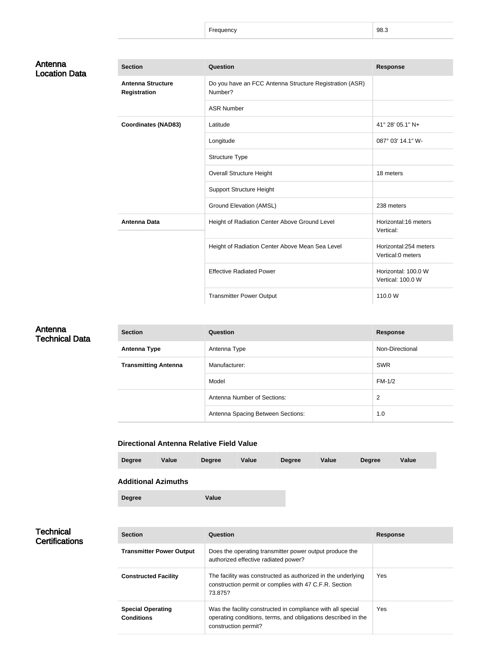Frequency 98.3

## Antenna Location Data

| <b>Section</b>                                  | Question                                                           | <b>Response</b>                             |
|-------------------------------------------------|--------------------------------------------------------------------|---------------------------------------------|
| <b>Antenna Structure</b><br><b>Registration</b> | Do you have an FCC Antenna Structure Registration (ASR)<br>Number? |                                             |
|                                                 | <b>ASR Number</b>                                                  |                                             |
| <b>Coordinates (NAD83)</b>                      | Latitude                                                           | 41° 28' 05.1" N+                            |
|                                                 | Longitude                                                          | 087° 03' 14.1" W-                           |
|                                                 | Structure Type                                                     |                                             |
|                                                 | <b>Overall Structure Height</b>                                    | 18 meters                                   |
|                                                 | <b>Support Structure Height</b>                                    |                                             |
|                                                 | <b>Ground Elevation (AMSL)</b>                                     | 238 meters                                  |
| <b>Antenna Data</b>                             | Height of Radiation Center Above Ground Level                      | Horizontal:16 meters<br>Vertical:           |
|                                                 | Height of Radiation Center Above Mean Sea Level                    | Horizontal: 254 meters<br>Vertical:0 meters |
|                                                 | <b>Effective Radiated Power</b>                                    | Horizontal: 100.0 W<br>Vertical: 100.0 W    |
|                                                 | <b>Transmitter Power Output</b>                                    | 110.0 W                                     |

## Antenna Technical Data

| <b>Section</b>              | Question                          | <b>Response</b> |
|-----------------------------|-----------------------------------|-----------------|
| <b>Antenna Type</b>         | Antenna Type                      | Non-Directional |
| <b>Transmitting Antenna</b> | Manufacturer:                     | <b>SWR</b>      |
|                             | Model                             | $FM-1/2$        |
|                             | Antenna Number of Sections:       | 2               |
|                             | Antenna Spacing Between Sections: | 1.0             |

## **Directional Antenna Relative Field Value**

| <b>Degree</b>              | Value | <b>Degree</b> | Value | <b>Degree</b> | Value | <b>Degree</b> | Value |
|----------------------------|-------|---------------|-------|---------------|-------|---------------|-------|
| <b>Additional Azimuths</b> |       |               |       |               |       |               |       |

**Degree Value**

## **Technical Certifications**

| <b>Section</b>                                | Question                                                                                                                                             | <b>Response</b> |
|-----------------------------------------------|------------------------------------------------------------------------------------------------------------------------------------------------------|-----------------|
| <b>Transmitter Power Output</b>               | Does the operating transmitter power output produce the<br>authorized effective radiated power?                                                      |                 |
| <b>Constructed Facility</b>                   | The facility was constructed as authorized in the underlying<br>construction permit or complies with 47 C.F.R. Section<br>73.875?                    | <b>Yes</b>      |
| <b>Special Operating</b><br><b>Conditions</b> | Was the facility constructed in compliance with all special<br>operating conditions, terms, and obligations described in the<br>construction permit? | <b>Yes</b>      |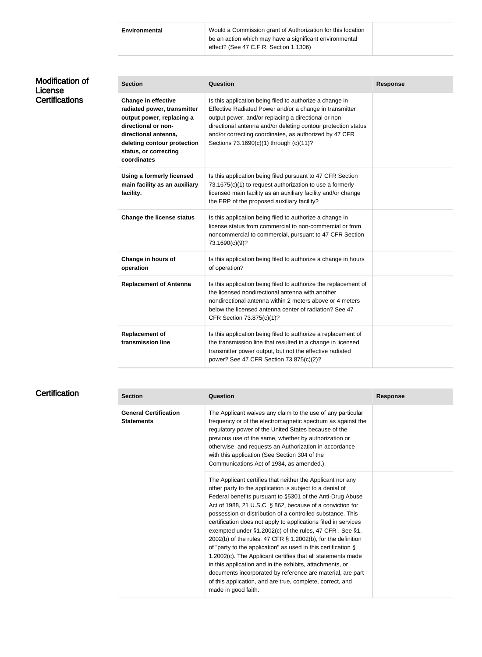**Environmental** Would a Commission grant of Authorization for this location be an action which may have a significant environmental effect? (See 47 C.F.R. Section 1.1306)

| <b>Modification of</b><br>License | <b>Section</b>                                                                                                                                                                                               | Question                                                                                                                                                                                                                                                                                                                                          | <b>Response</b> |
|-----------------------------------|--------------------------------------------------------------------------------------------------------------------------------------------------------------------------------------------------------------|---------------------------------------------------------------------------------------------------------------------------------------------------------------------------------------------------------------------------------------------------------------------------------------------------------------------------------------------------|-----------------|
| <b>Certifications</b>             | <b>Change in effective</b><br>radiated power, transmitter<br>output power, replacing a<br>directional or non-<br>directional antenna,<br>deleting contour protection<br>status, or correcting<br>coordinates | Is this application being filed to authorize a change in<br>Effective Radiated Power and/or a change in transmitter<br>output power, and/or replacing a directional or non-<br>directional antenna and/or deleting contour protection status<br>and/or correcting coordinates, as authorized by 47 CFR<br>Sections 73.1690(c)(1) through (c)(11)? |                 |
|                                   | Using a formerly licensed<br>main facility as an auxiliary<br>facility.                                                                                                                                      | Is this application being filed pursuant to 47 CFR Section<br>73.1675(c)(1) to request authorization to use a formerly<br>licensed main facility as an auxiliary facility and/or change<br>the ERP of the proposed auxiliary facility?                                                                                                            |                 |
|                                   | <b>Change the license status</b>                                                                                                                                                                             | Is this application being filed to authorize a change in<br>license status from commercial to non-commercial or from<br>noncommercial to commercial, pursuant to 47 CFR Section<br>73.1690(c)(9)?                                                                                                                                                 |                 |
|                                   | Change in hours of<br>operation                                                                                                                                                                              | Is this application being filed to authorize a change in hours<br>of operation?                                                                                                                                                                                                                                                                   |                 |
|                                   | <b>Replacement of Antenna</b>                                                                                                                                                                                | Is this application being filed to authorize the replacement of<br>the licensed nondirectional antenna with another<br>nondirectional antenna within 2 meters above or 4 meters<br>below the licensed antenna center of radiation? See 47<br>CFR Section 73.875(c)(1)?                                                                            |                 |
|                                   | <b>Replacement of</b><br>transmission line                                                                                                                                                                   | Is this application being filed to authorize a replacement of<br>the transmission line that resulted in a change in licensed<br>transmitter power output, but not the effective radiated<br>power? See 47 CFR Section 73.875(c)(2)?                                                                                                               |                 |

| <b>Section</b>                                    | <b>Question</b>                                                                                                                                                                                                                                                                                                                                                                                                                                                                                                                                                                                                                                                                                                                                                                                                                                              | <b>Response</b> |
|---------------------------------------------------|--------------------------------------------------------------------------------------------------------------------------------------------------------------------------------------------------------------------------------------------------------------------------------------------------------------------------------------------------------------------------------------------------------------------------------------------------------------------------------------------------------------------------------------------------------------------------------------------------------------------------------------------------------------------------------------------------------------------------------------------------------------------------------------------------------------------------------------------------------------|-----------------|
| <b>General Certification</b><br><b>Statements</b> | The Applicant waives any claim to the use of any particular<br>frequency or of the electromagnetic spectrum as against the<br>regulatory power of the United States because of the<br>previous use of the same, whether by authorization or<br>otherwise, and requests an Authorization in accordance<br>with this application (See Section 304 of the<br>Communications Act of 1934, as amended.).                                                                                                                                                                                                                                                                                                                                                                                                                                                          |                 |
|                                                   | The Applicant certifies that neither the Applicant nor any<br>other party to the application is subject to a denial of<br>Federal benefits pursuant to §5301 of the Anti-Drug Abuse<br>Act of 1988, 21 U.S.C. § 862, because of a conviction for<br>possession or distribution of a controlled substance. This<br>certification does not apply to applications filed in services<br>exempted under §1.2002(c) of the rules, 47 CFR. See §1.<br>2002(b) of the rules, 47 CFR § 1.2002(b), for the definition<br>of "party to the application" as used in this certification $\S$<br>1.2002(c). The Applicant certifies that all statements made<br>in this application and in the exhibits, attachments, or<br>documents incorporated by reference are material, are part<br>of this application, and are true, complete, correct, and<br>made in good faith. |                 |